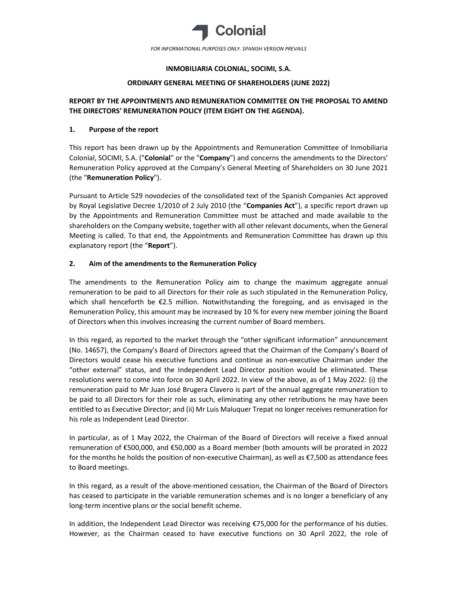

# INMOBILIARIA COLONIAL, SOCIMI, S.A.

## ORDINARY GENERAL MEETING OF SHAREHOLDERS (JUNE 2022)

# REPORT BY THE APPOINTMENTS AND REMUNERATION COMMITTEE ON THE PROPOSAL TO AMEND THE DIRECTORS' REMUNERATION POLICY (ITEM EIGHT ON THE AGENDA).

# 1. Purpose of the report

This report has been drawn up by the Appointments and Remuneration Committee of Inmobiliaria Colonial, SOCIMI, S.A. ("Colonial" or the "Company") and concerns the amendments to the Directors' Remuneration Policy approved at the Company's General Meeting of Shareholders on 30 June 2021 (the "Remuneration Policy").

Pursuant to Article 529 novodecies of the consolidated text of the Spanish Companies Act approved by Royal Legislative Decree 1/2010 of 2 July 2010 (the "Companies Act"), a specific report drawn up by the Appointments and Remuneration Committee must be attached and made available to the shareholders on the Company website, together with all other relevant documents, when the General Meeting is called. To that end, the Appointments and Remuneration Committee has drawn up this explanatory report (the "Report").

# 2. Aim of the amendments to the Remuneration Policy

The amendments to the Remuneration Policy aim to change the maximum aggregate annual remuneration to be paid to all Directors for their role as such stipulated in the Remuneration Policy, which shall henceforth be  $\epsilon$ 2.5 million. Notwithstanding the foregoing, and as envisaged in the Remuneration Policy, this amount may be increased by 10 % for every new member joining the Board of Directors when this involves increasing the current number of Board members.

In this regard, as reported to the market through the "other significant information" announcement (No. 14657), the Company's Board of Directors agreed that the Chairman of the Company's Board of Directors would cease his executive functions and continue as non-executive Chairman under the "other external" status, and the Independent Lead Director position would be eliminated. These resolutions were to come into force on 30 April 2022. In view of the above, as of 1 May 2022: (i) the remuneration paid to Mr Juan José Brugera Clavero is part of the annual aggregate remuneration to be paid to all Directors for their role as such, eliminating any other retributions he may have been entitled to as Executive Director; and (ii) Mr Luis Maluquer Trepat no longer receives remuneration for his role as Independent Lead Director.

In particular, as of 1 May 2022, the Chairman of the Board of Directors will receive a fixed annual remuneration of €500,000, and €50,000 as a Board member (both amounts will be prorated in 2022 for the months he holds the position of non-executive Chairman), as well as €7,500 as attendance fees to Board meetings.

In this regard, as a result of the above-mentioned cessation, the Chairman of the Board of Directors has ceased to participate in the variable remuneration schemes and is no longer a beneficiary of any long-term incentive plans or the social benefit scheme.

In addition, the Independent Lead Director was receiving €75,000 for the performance of his duties. However, as the Chairman ceased to have executive functions on 30 April 2022, the role of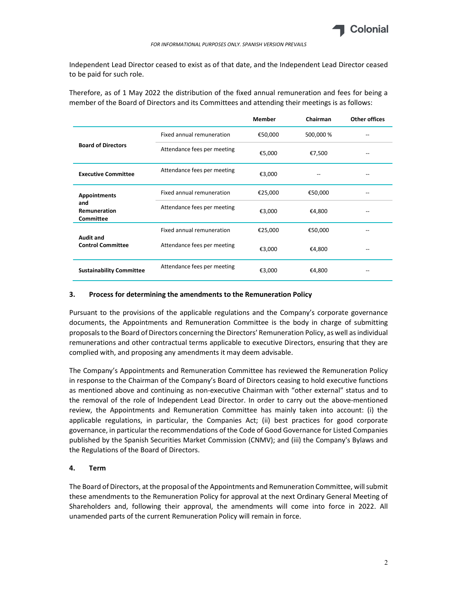

Independent Lead Director ceased to exist as of that date, and the Independent Lead Director ceased to be paid for such role.

Therefore, as of 1 May 2022 the distribution of the fixed annual remuneration and fees for being a member of the Board of Directors and its Committees and attending their meetings is as follows:

|                                                                |                             | <b>Member</b> | Chairman  | <b>Other offices</b> |
|----------------------------------------------------------------|-----------------------------|---------------|-----------|----------------------|
| <b>Board of Directors</b>                                      | Fixed annual remuneration   | €50,000       | 500,000 % |                      |
|                                                                | Attendance fees per meeting | €5,000        | €7,500    |                      |
| <b>Executive Committee</b>                                     | Attendance fees per meeting | €3,000        |           |                      |
| <b>Appointments</b><br>and<br>Remuneration<br><b>Committee</b> | Fixed annual remuneration   | €25,000       | €50,000   |                      |
|                                                                | Attendance fees per meeting | €3,000        | €4,800    |                      |
| <b>Audit and</b><br><b>Control Committee</b>                   | Fixed annual remuneration   | €25,000       | €50,000   |                      |
|                                                                | Attendance fees per meeting | €3,000        | €4,800    |                      |
| <b>Sustainability Committee</b>                                | Attendance fees per meeting | €3,000        | €4,800    |                      |

#### 3. Process for determining the amendments to the Remuneration Policy

Pursuant to the provisions of the applicable regulations and the Company's corporate governance documents, the Appointments and Remuneration Committee is the body in charge of submitting proposals to the Board of Directors concerning the Directors' Remuneration Policy, as well as individual remunerations and other contractual terms applicable to executive Directors, ensuring that they are complied with, and proposing any amendments it may deem advisable.

The Company's Appointments and Remuneration Committee has reviewed the Remuneration Policy in response to the Chairman of the Company's Board of Directors ceasing to hold executive functions as mentioned above and continuing as non-executive Chairman with "other external" status and to the removal of the role of Independent Lead Director. In order to carry out the above-mentioned review, the Appointments and Remuneration Committee has mainly taken into account: (i) the applicable regulations, in particular, the Companies Act; (ii) best practices for good corporate governance, in particular the recommendations of the Code of Good Governance for Listed Companies published by the Spanish Securities Market Commission (CNMV); and (iii) the Company's Bylaws and the Regulations of the Board of Directors.

## 4. Term

The Board of Directors, at the proposal of the Appointments and Remuneration Committee, will submit these amendments to the Remuneration Policy for approval at the next Ordinary General Meeting of Shareholders and, following their approval, the amendments will come into force in 2022. All unamended parts of the current Remuneration Policy will remain in force.